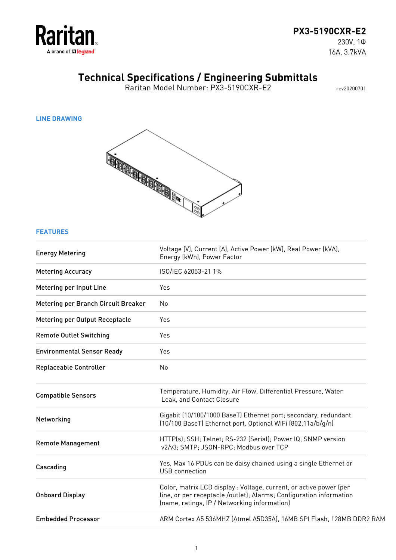

## **PX3-5190CXR-E2**

230V, 1Φ 16A, 3.7kVA

## **Technical Specifications / Engineering Submittals**

Raritan Model Number: PX3-5190CXR-E2 rev20200701

**LINE DRAWING**



### **FEATURES**

| <b>Energy Metering</b>              | Voltage (V), Current (A), Active Power (kW), Real Power (kVA),<br>Energy (kWh), Power Factor                                                                                              |
|-------------------------------------|-------------------------------------------------------------------------------------------------------------------------------------------------------------------------------------------|
| <b>Metering Accuracy</b>            | ISO/IEC 62053-21 1%                                                                                                                                                                       |
| Metering per Input Line             | Yes                                                                                                                                                                                       |
| Metering per Branch Circuit Breaker | No                                                                                                                                                                                        |
| Metering per Output Receptacle      | Yes                                                                                                                                                                                       |
| <b>Remote Outlet Switching</b>      | Yes                                                                                                                                                                                       |
| <b>Environmental Sensor Ready</b>   | Yes                                                                                                                                                                                       |
| <b>Replaceable Controller</b>       | No                                                                                                                                                                                        |
| <b>Compatible Sensors</b>           | Temperature, Humidity, Air Flow, Differential Pressure, Water<br>Leak, and Contact Closure                                                                                                |
| Networking                          | Gigabit (10/100/1000 BaseT) Ethernet port; secondary, redundant<br>(10/100 BaseT) Ethernet port. Optional WiFi (802.11a/b/q/n)                                                            |
| <b>Remote Management</b>            | HTTP(s); SSH; Telnet; RS-232 (Serial); Power IQ; SNMP version<br>v2/v3; SMTP; JSON-RPC; Modbus over TCP                                                                                   |
| Cascading                           | Yes, Max 16 PDUs can be daisy chained using a single Ethernet or<br><b>USB</b> connection                                                                                                 |
| <b>Onboard Display</b>              | Color, matrix LCD display : Voltage, current, or active power (per<br>line, or per receptacle /outlet); Alarms; Configuration information<br>(name, ratings, IP / Networking information) |
| <b>Embedded Processor</b>           | ARM Cortex A5 536MHZ (Atmel A5D35A), 16MB SPI Flash, 128MB DDR2 RAM                                                                                                                       |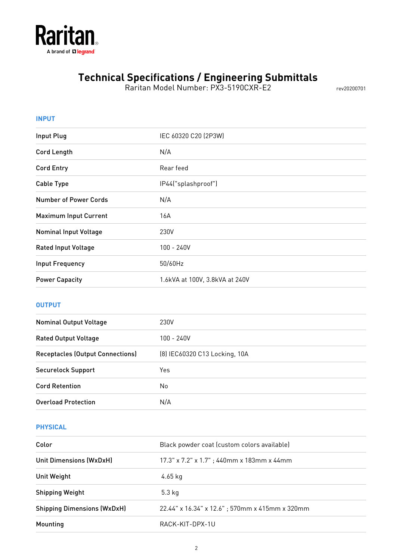

Raritan Model Number: PX3-5190CXR-E2 rev20200701

| <b>INPUT</b>                            |                                |
|-----------------------------------------|--------------------------------|
| <b>Input Plug</b>                       | IEC 60320 C20 (2P3W)           |
| <b>Cord Length</b>                      | N/A                            |
| <b>Cord Entry</b>                       | Rear feed                      |
| <b>Cable Type</b>                       | IP44("splashproof")            |
| <b>Number of Power Cords</b>            | N/A                            |
| <b>Maximum Input Current</b>            | 16A                            |
| <b>Nominal Input Voltage</b>            | 230V                           |
| <b>Rated Input Voltage</b>              | 100 - 240V                     |
| <b>Input Frequency</b>                  | 50/60Hz                        |
| <b>Power Capacity</b>                   | 1.6kVA at 100V, 3.8kVA at 240V |
| <b>OUTPUT</b>                           |                                |
| <b>Nominal Output Voltage</b>           | 230V                           |
| <b>Rated Output Voltage</b>             | $100 - 240V$                   |
| <b>Receptacles (Output Connections)</b> | (8) IEC60320 C13 Locking, 10A  |
| <b>Securelock Support</b>               | Yes                            |
| <b>Cord Retention</b>                   | No                             |
| <b>Overload Protection</b>              | N/A                            |

### **PHYSICAL**

| Color                              | Black powder coat (custom colors available)    |
|------------------------------------|------------------------------------------------|
| <b>Unit Dimensions (WxDxH)</b>     | 17.3" x 7.2" x 1.7"; 440mm x 183mm x 44mm      |
| Unit Weight                        | 4.65 kg                                        |
| <b>Shipping Weight</b>             | $5.3$ kg                                       |
| <b>Shipping Dimensions (WxDxH)</b> | 22.44" x 16.34" x 12.6"; 570mm x 415mm x 320mm |
| Mounting                           | RACK-KIT-DPX-1U                                |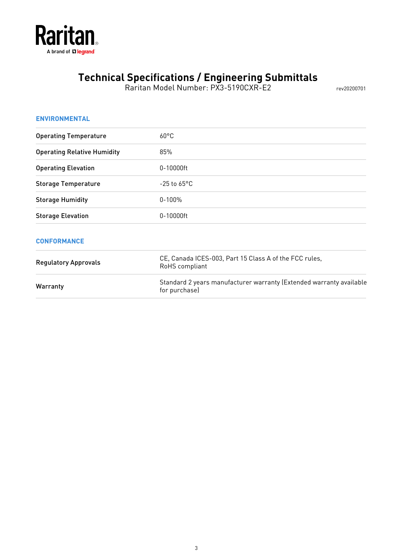

Raritan Model Number: PX3-5190CXR-E2 rev20200701

| <b>ENVIRONMENTAL</b>               |                                                                                      |
|------------------------------------|--------------------------------------------------------------------------------------|
| <b>Operating Temperature</b>       | $60^{\circ}$ C                                                                       |
| <b>Operating Relative Humidity</b> | 85%                                                                                  |
| <b>Operating Elevation</b>         | 0-10000ft                                                                            |
| <b>Storage Temperature</b>         | $-25$ to $65^{\circ}$ C                                                              |
| <b>Storage Humidity</b>            | $0 - 100%$                                                                           |
| <b>Storage Elevation</b>           | 0-10000ft                                                                            |
| <b>CONFORMANCE</b>                 |                                                                                      |
| <b>Regulatory Approvals</b>        | CE, Canada ICES-003, Part 15 Class A of the FCC rules,<br>RoHS compliant             |
| Warranty                           | Standard 2 years manufacturer warranty (Extended warranty available<br>for purchase) |
|                                    |                                                                                      |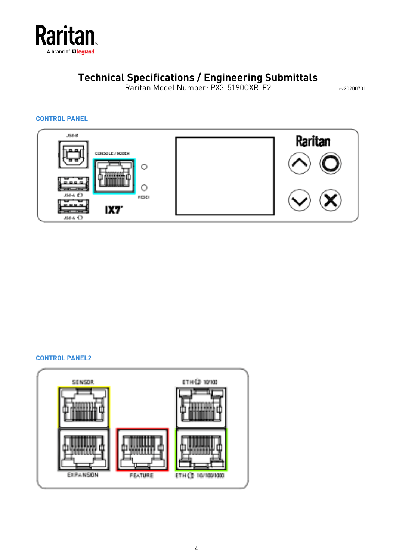

Raritan Model Number: PX3-5190CXR-E2 rev20200701

### **CONTROL PANEL**



#### **CONTROL PANEL2**

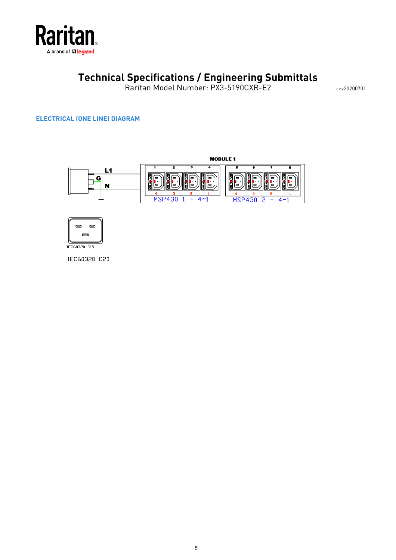

Raritan Model Number: PX3-5190CXR-E2 rev20200701

### **ELECTRICAL (ONE LINE) DIAGRAM**





IEC60320 C20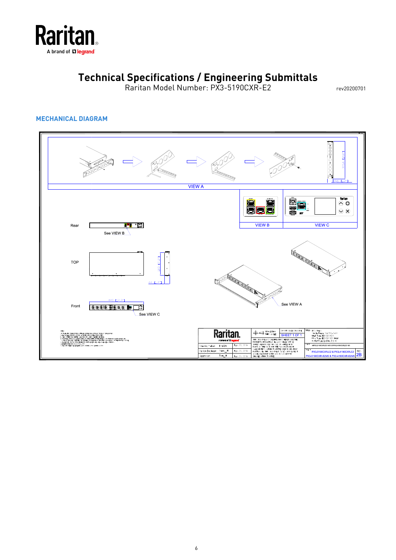

Raritan Model Number: PX3-5190CXR-E2 rev20200701

### **MECHANICAL DIAGRAM**